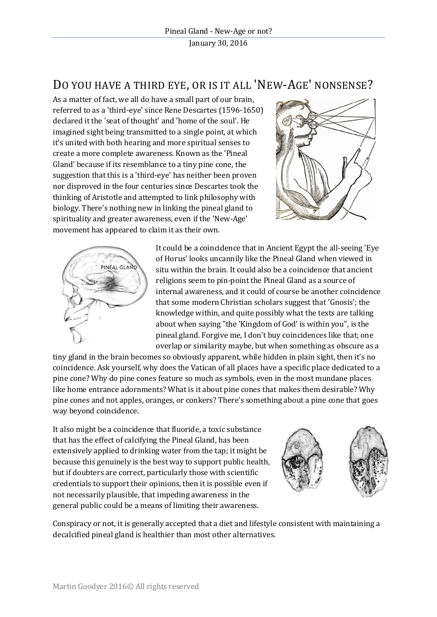## DO YOU HAVE A THIRD EYE, OR IS IT ALL 'NEW-AGE' NONSENSE?

As a matter of fact, we all do have a small part of our brain, referred to as a 'third-eye' since Rene Descartes (1596-1650) declared it the 'seat of thought' and 'home of the soul'. He imagined sight being transmitted to a single point, at which it's united with both hearing and more spiritual senses to create a more complete awareness. Known as the 'Pineal Gland' because if its resemblance to a tiny pine cone, the suggestion that this is a 'third-eye' has neither been proven nor disproved in the four centuries since Descartes took the thinking of Aristotle and attempted to link philosophy with biology. There's nothing new in linking the pineal gland to spirituality and greater awareness, even if the 'New-Age' movement has appeared to claim it as their own.





It could be a coincidence that in Ancient Egypt the all-seeing 'Eye of Horus' looks uncannily like the Pineal Gland when viewed in situ within the brain. It could also be a coincidence that ancient religions seem to pin-point the Pineal Gland as a source of internal awareness, and it could of course be another coincidence that some modern Christian scholars suggest that 'Gnosis'; the knowledge within, and quite possibly what the texts are talking about when saying "the 'Kingdom of God' is within you", is the pineal gland. Forgive me, I don't buy coincidences like that; one overlap or similarity maybe, but when something as obscure as a

tiny gland in the brain becomes so obviously apparent, while hidden in plain sight, then it's no coincidence. Ask yourself, why does the Vatican of all places have a specific place dedicated to a pine cone? Why do pine cones feature so much as symbols, even in the most mundane places like home entrance adornments? What is it about pine cones that makes them desirable? Why pine cones and not apples, oranges, or conkers? There's something about a pine cone that goes way beyond coincidence.

It also might be a coincidence that fluoride, a toxic substance that has the effect of calcifying the Pineal Gland, has been extensively applied to drinking water from the tap; it might be because this genuinely is the best way to support public health, but if doubters are correct, particularly those with scientific credentials to support their opinions, then it is possible even if not necessarily plausible, that impeding awareness in the general public could be a means of limiting their awareness.



Conspiracy or not, it is generally accepted that a diet and lifestyle consistent with maintaining a decalcified pineal gland is healthier than most other alternatives.